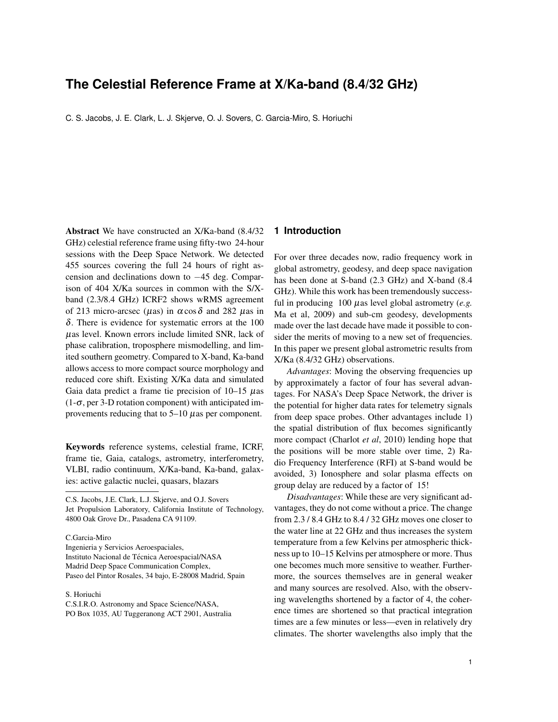# **The Celestial Reference Frame at X/Ka-band (8.4/32 GHz)**

C. S. Jacobs, J. E. Clark, L. J. Skjerve, O. J. Sovers, C. Garcia-Miro, S. Horiuchi

Abstract We have constructed an X/Ka-band (8.4/32 GHz) celestial reference frame using fifty-two 24-hour sessions with the Deep Space Network. We detected 455 sources covering the full 24 hours of right ascension and declinations down to −45 deg. Comparison of 404 X/Ka sources in common with the S/Xband (2.3/8.4 GHz) ICRF2 shows wRMS agreement of 213 micro-arcsec ( $\mu$ as) in  $\alpha$ cos  $\delta$  and 282  $\mu$ as in δ. There is evidence for systematic errors at the 100  $\mu$ as level. Known errors include limited SNR, lack of phase calibration, troposphere mismodelling, and limited southern geometry. Compared to X-band, Ka-band allows access to more compact source morphology and reduced core shift. Existing X/Ka data and simulated Gaia data predict a frame tie precision of  $10-15 \mu$ as  $(1-\sigma, \text{per }3-D \text{ rotation component})$  with anticipated improvements reducing that to  $5-10 \mu$  as per component.

Keywords reference systems, celestial frame, ICRF, frame tie, Gaia, catalogs, astrometry, interferometry, VLBI, radio continuum, X/Ka-band, Ka-band, galaxies: active galactic nuclei, quasars, blazars

C.S. Jacobs, J.E. Clark, L.J. Skjerve, and O.J. Sovers Jet Propulsion Laboratory, California Institute of Technology, 4800 Oak Grove Dr., Pasadena CA 91109.

C.Garcia-Miro

Ingenieria y Servicios Aeroespaciales, Instituto Nacional de Técnica Aeroespacial/NASA Madrid Deep Space Communication Complex, Paseo del Pintor Rosales, 34 bajo, E-28008 Madrid, Spain

S. Horiuchi C.S.I.R.O. Astronomy and Space Science/NASA, PO Box 1035, AU Tuggeranong ACT 2901, Australia

### **1 Introduction**

For over three decades now, radio frequency work in global astrometry, geodesy, and deep space navigation has been done at S-band (2.3 GHz) and X-band (8.4 GHz). While this work has been tremendously successful in producing 100 µas level global astrometry (*e.g.* Ma et al, 2009) and sub-cm geodesy, developments made over the last decade have made it possible to consider the merits of moving to a new set of frequencies. In this paper we present global astrometric results from X/Ka (8.4/32 GHz) observations.

*Advantages*: Moving the observing frequencies up by approximately a factor of four has several advantages. For NASA's Deep Space Network, the driver is the potential for higher data rates for telemetry signals from deep space probes. Other advantages include 1) the spatial distribution of flux becomes significantly more compact (Charlot *et al*, 2010) lending hope that the positions will be more stable over time, 2) Radio Frequency Interference (RFI) at S-band would be avoided, 3) Ionosphere and solar plasma effects on group delay are reduced by a factor of 15!

*Disadvantages*: While these are very significant advantages, they do not come without a price. The change from 2.3 / 8.4 GHz to 8.4 / 32 GHz moves one closer to the water line at 22 GHz and thus increases the system temperature from a few Kelvins per atmospheric thickness up to 10–15 Kelvins per atmosphere or more. Thus one becomes much more sensitive to weather. Furthermore, the sources themselves are in general weaker and many sources are resolved. Also, with the observing wavelengths shortened by a factor of 4, the coherence times are shortened so that practical integration times are a few minutes or less—even in relatively dry climates. The shorter wavelengths also imply that the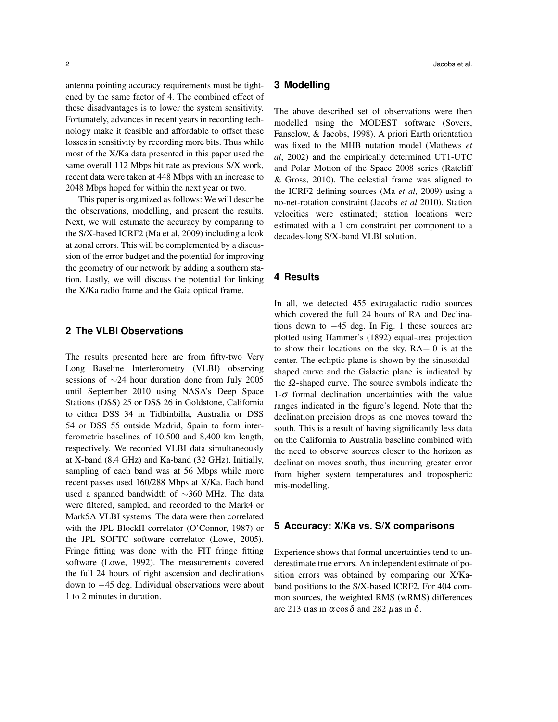antenna pointing accuracy requirements must be tightened by the same factor of 4. The combined effect of these disadvantages is to lower the system sensitivity. Fortunately, advances in recent years in recording technology make it feasible and affordable to offset these losses in sensitivity by recording more bits. Thus while most of the X/Ka data presented in this paper used the same overall 112 Mbps bit rate as previous S/X work, recent data were taken at 448 Mbps with an increase to 2048 Mbps hoped for within the next year or two.

This paper is organized as follows: We will describe the observations, modelling, and present the results. Next, we will estimate the accuracy by comparing to the S/X-based ICRF2 (Ma et al, 2009) including a look at zonal errors. This will be complemented by a discussion of the error budget and the potential for improving the geometry of our network by adding a southern station. Lastly, we will discuss the potential for linking the X/Ka radio frame and the Gaia optical frame.

## **2 The VLBI Observations**

The results presented here are from fifty-two Very Long Baseline Interferometry (VLBI) observing sessions of ∼24 hour duration done from July 2005 until September 2010 using NASA's Deep Space Stations (DSS) 25 or DSS 26 in Goldstone, California to either DSS 34 in Tidbinbilla, Australia or DSS 54 or DSS 55 outside Madrid, Spain to form interferometric baselines of 10,500 and 8,400 km length, respectively. We recorded VLBI data simultaneously at X-band (8.4 GHz) and Ka-band (32 GHz). Initially, sampling of each band was at 56 Mbps while more recent passes used 160/288 Mbps at X/Ka. Each band used a spanned bandwidth of ∼360 MHz. The data were filtered, sampled, and recorded to the Mark4 or Mark5A VLBI systems. The data were then correlated with the JPL BlockII correlator (O'Connor, 1987) or the JPL SOFTC software correlator (Lowe, 2005). Fringe fitting was done with the FIT fringe fitting software (Lowe, 1992). The measurements covered the full 24 hours of right ascension and declinations down to −45 deg. Individual observations were about 1 to 2 minutes in duration.

### **3 Modelling**

The above described set of observations were then modelled using the MODEST software (Sovers, Fanselow, & Jacobs, 1998). A priori Earth orientation was fixed to the MHB nutation model (Mathews *et al*, 2002) and the empirically determined UT1-UTC and Polar Motion of the Space 2008 series (Ratcliff & Gross, 2010). The celestial frame was aligned to the ICRF2 defining sources (Ma *et al*, 2009) using a no-net-rotation constraint (Jacobs *et al* 2010). Station velocities were estimated; station locations were estimated with a 1 cm constraint per component to a decades-long S/X-band VLBI solution.

### **4 Results**

In all, we detected 455 extragalactic radio sources which covered the full 24 hours of RA and Declinations down to −45 deg. In Fig. 1 these sources are plotted using Hammer's (1892) equal-area projection to show their locations on the sky.  $RA = 0$  is at the center. The ecliptic plane is shown by the sinusoidalshaped curve and the Galactic plane is indicated by the  $\Omega$ -shaped curve. The source symbols indicate the  $1-\sigma$  formal declination uncertainties with the value ranges indicated in the figure's legend. Note that the declination precision drops as one moves toward the south. This is a result of having significantly less data on the California to Australia baseline combined with the need to observe sources closer to the horizon as declination moves south, thus incurring greater error from higher system temperatures and tropospheric mis-modelling.

#### **5 Accuracy: X/Ka vs. S/X comparisons**

Experience shows that formal uncertainties tend to underestimate true errors. An independent estimate of position errors was obtained by comparing our X/Kaband positions to the S/X-based ICRF2. For 404 common sources, the weighted RMS (wRMS) differences are 213  $\mu$ as in  $\alpha$  cos  $\delta$  and 282  $\mu$ as in  $\delta$ .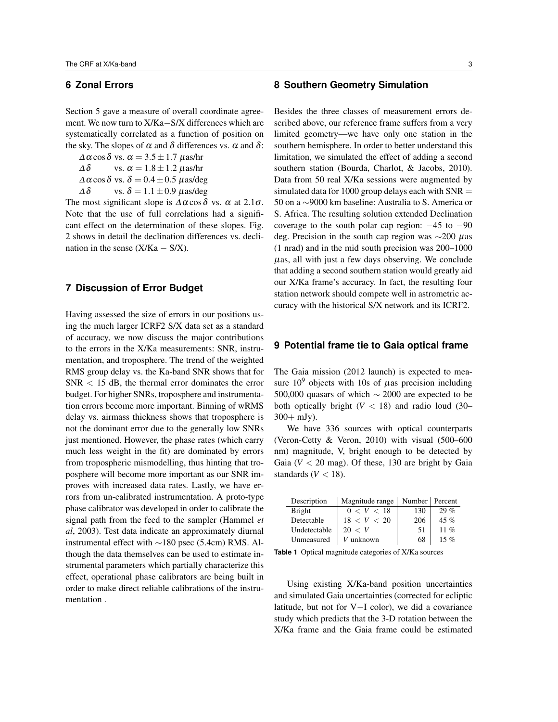## **6 Zonal Errors**

Section 5 gave a measure of overall coordinate agreement. We now turn to X/Ka−S/X differences which are systematically correlated as a function of position on the sky. The slopes of  $\alpha$  and  $\delta$  differences vs.  $\alpha$  and  $\delta$ :

 $\Delta \alpha \cos \delta$  vs.  $\alpha = 3.5 \pm 1.7$   $\mu$ as/hr  $\Delta\delta$  vs.  $\alpha = 1.8 \pm 1.2 \ \mu$ as/hr  $\Delta \alpha \cos \delta$  vs.  $\delta = 0.4 \pm 0.5$   $\mu$ as/deg  $\Delta \delta$  vs.  $\delta = 1.1 \pm 0.9$   $\mu$ as/deg

The most significant slope is  $\Delta \alpha \cos \delta$  vs.  $\alpha$  at 2.1 $\sigma$ . Note that the use of full correlations had a significant effect on the determination of these slopes. Fig. 2 shows in detail the declination differences vs. declination in the sense  $(X/Ka - S/X)$ .

### **7 Discussion of Error Budget**

Having assessed the size of errors in our positions using the much larger ICRF2 S/X data set as a standard of accuracy, we now discuss the major contributions to the errors in the X/Ka measurements: SNR, instrumentation, and troposphere. The trend of the weighted RMS group delay vs. the Ka-band SNR shows that for  $SNR < 15$  dB, the thermal error dominates the error budget. For higher SNRs, troposphere and instrumentation errors become more important. Binning of wRMS delay vs. airmass thickness shows that troposphere is not the dominant error due to the generally low SNRs just mentioned. However, the phase rates (which carry much less weight in the fit) are dominated by errors from tropospheric mismodelling, thus hinting that troposphere will become more important as our SNR improves with increased data rates. Lastly, we have errors from un-calibrated instrumentation. A proto-type phase calibrator was developed in order to calibrate the signal path from the feed to the sampler (Hammel *et al*, 2003). Test data indicate an approximately diurnal instrumental effect with ∼180 psec (5.4cm) RMS. Although the data themselves can be used to estimate instrumental parameters which partially characterize this effect, operational phase calibrators are being built in order to make direct reliable calibrations of the instrumentation .

Besides the three classes of measurement errors described above, our reference frame suffers from a very limited geometry—we have only one station in the southern hemisphere. In order to better understand this limitation, we simulated the effect of adding a second southern station (Bourda, Charlot, & Jacobs, 2010). Data from 50 real X/Ka sessions were augmented by simulated data for 1000 group delays each with  $SNR =$ 50 on a ∼9000 km baseline: Australia to S. America or S. Africa. The resulting solution extended Declination coverage to the south polar cap region:  $-45$  to  $-90$ deg. Precision in the south cap region was ∼200 µas (1 nrad) and in the mid south precision was 200–1000  $\mu$ as, all with just a few days observing. We conclude that adding a second southern station would greatly aid our X/Ka frame's accuracy. In fact, the resulting four station network should compete well in astrometric accuracy with the historical S/X network and its ICRF2.

### **9 Potential frame tie to Gaia optical frame**

The Gaia mission (2012 launch) is expected to measure  $10^9$  objects with 10s of  $\mu$ as precision including 500,000 quasars of which ∼ 2000 are expected to be both optically bright  $(V < 18)$  and radio loud (30–  $300 + mJy$ ).

We have 336 sources with optical counterparts (Veron-Cetty & Veron, 2010) with visual (500–600 nm) magnitude, V, bright enough to be detected by Gaia  $(V < 20$  mag). Of these, 130 are bright by Gaia standards ( $V < 18$ ).

| Description   | Magnitude range    Number   Percent |     |         |
|---------------|-------------------------------------|-----|---------|
| <b>Bright</b> | 0 < V < 18                          | 130 | $29\%$  |
| Detectable    | 18 < V < 20                         | 206 | $45 \%$ |
| Undetectable  | 20 < V                              | 51  | 11 %    |
| Unmeasured    | unknown                             | 68  | 15 %    |

**Table 1** Optical magnitude categories of X/Ka sources

Using existing X/Ka-band position uncertainties and simulated Gaia uncertainties (corrected for ecliptic latitude, but not for V−I color), we did a covariance study which predicts that the 3-D rotation between the X/Ka frame and the Gaia frame could be estimated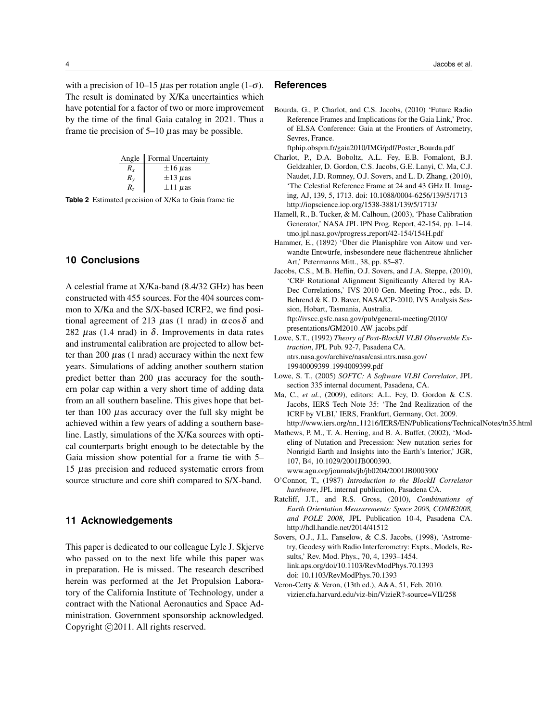with a precision of 10–15  $\mu$ as per rotation angle (1- $\sigma$ ). The result is dominated by X/Ka uncertainties which have potential for a factor of two or more improvement by the time of the final Gaia catalog in 2021. Thus a frame tie precision of  $5-10 \mu$ as may be possible.

|         | Angle    Formal Uncertainty |
|---------|-----------------------------|
| $R_x$   | $\pm 16 \ \mu$ as           |
| $R_{v}$ | $\pm 13 \ \mu$ as           |
| $R_z$   | $\pm 11 \ \mu$ as           |

**Table 2** Estimated precision of X/Ka to Gaia frame tie

### **10 Conclusions**

A celestial frame at X/Ka-band (8.4/32 GHz) has been constructed with 455 sources. For the 404 sources common to X/Ka and the S/X-based ICRF2, we find positional agreement of 213 μas (1 nrad) in  $\alpha$  cos δ and 282  $\mu$ as (1.4 nrad) in  $\delta$ . Improvements in data rates and instrumental calibration are projected to allow better than 200  $\mu$ as (1 nrad) accuracy within the next few years. Simulations of adding another southern station predict better than 200  $\mu$ as accuracy for the southern polar cap within a very short time of adding data from an all southern baseline. This gives hope that better than 100  $\mu$ as accuracy over the full sky might be achieved within a few years of adding a southern baseline. Lastly, simulations of the X/Ka sources with optical counterparts bright enough to be detectable by the Gaia mission show potential for a frame tie with 5– 15 µas precision and reduced systematic errors from source structure and core shift compared to S/X-band.

### **11 Acknowledgements**

This paper is dedicated to our colleague Lyle J. Skjerve who passed on to the next life while this paper was in preparation. He is missed. The research described herein was performed at the Jet Propulsion Laboratory of the California Institute of Technology, under a contract with the National Aeronautics and Space Administration. Government sponsorship acknowledged. Copyright ©2011. All rights reserved.

#### **References**

Bourda, G., P. Charlot, and C.S. Jacobs, (2010) 'Future Radio Reference Frames and Implications for the Gaia Link,' Proc. of ELSA Conference: Gaia at the Frontiers of Astrometry, Sevres, France.

ftphip.obspm.fr/gaia2010/IMG/pdf/Poster Bourda.pdf

- Charlot, P., D.A. Boboltz, A.L. Fey, E.B. Fomalont, B.J. Geldzahler, D. Gordon, C.S. Jacobs, G.E. Lanyi, C. Ma, C.J. Naudet, J.D. Romney, O.J. Sovers, and L. D. Zhang, (2010), 'The Celestial Reference Frame at 24 and 43 GHz II. Imaging, AJ, 139, 5, 1713. doi: 10.1088/0004-6256/139/5/1713 http://iopscience.iop.org/1538-3881/139/5/1713/
- Hamell, R., B. Tucker, & M. Calhoun, (2003), 'Phase Calibration Generator,' NASA JPL IPN Prog. Report, 42-154, pp. 1–14. tmo.jpl.nasa.gov/progress\_report/42-154/154H.pdf
- Hammer, E., (1892) 'Über die Planisphäre von Aitow und verwandte Entwürfe, insbesondere neue flächentreue ähnlicher Art,' Petermanns Mitt., 38, pp. 85–87.
- Jacobs, C.S., M.B. Heflin, O.J. Sovers, and J.A. Steppe, (2010), 'CRF Rotational Alignment Significantly Altered by RA-Dec Correlations,' IVS 2010 Gen. Meeting Proc., eds. D. Behrend & K. D. Baver, NASA/CP-2010, IVS Analysis Session, Hobart, Tasmania, Australia. ftp://ivscc.gsfc.nasa.gov/pub/general-meeting/2010/ presentations/GM2010 AW jacobs.pdf
- Lowe, S.T., (1992) *Theory of Post-BlockII VLBI Observable Extraction*, JPL Pub. 92-7, Pasadena CA. ntrs.nasa.gov/archive/nasa/casi.ntrs.nasa.gov/ 19940009399 1994009399.pdf
- Lowe, S. T., (2005) *SOFTC: A Software VLBI Correlator*, JPL section 335 internal document, Pasadena, CA.
- Ma, C., *et al.*, (2009), editors: A.L. Fey, D. Gordon & C.S. Jacobs, IERS Tech Note 35: 'The 2nd Realization of the ICRF by VLBI,' IERS, Frankfurt, Germany, Oct. 2009. http://www.iers.org/nn 11216/IERS/EN/Publications/TechnicalNotes/tn35.html
- Mathews, P. M., T. A. Herring, and B. A. Buffet, (2002), 'Modeling of Nutation and Precession: New nutation series for Nonrigid Earth and Insights into the Earth's Interior,' JGR, 107, B4, 10.1029/2001JB000390. www.agu.org/journals/jb/jb0204/2001JB000390/
- O'Connor, T., (1987) *Introduction to the BlockII Correlator hardware*, JPL internal publication, Pasadena CA.
- Ratcliff, J.T., and R.S. Gross, (2010), *Combinations of Earth Orientation Measurements: Space 2008, COMB2008, and POLE 2008*, JPL Publication 10-4, Pasadena CA. http://hdl.handle.net/2014/41512
- Sovers, O.J., J.L. Fanselow, & C.S. Jacobs, (1998), 'Astrometry, Geodesy with Radio Interferometry: Expts., Models, Results,' Rev. Mod. Phys., 70, 4, 1393–1454. link.aps.org/doi/10.1103/RevModPhys.70.1393 doi: 10.1103/RevModPhys.70.1393
- Veron-Cetty & Veron, (13th ed.), A&A, 51, Feb. 2010. vizier.cfa.harvard.edu/viz-bin/VizieR?-source=VII/258